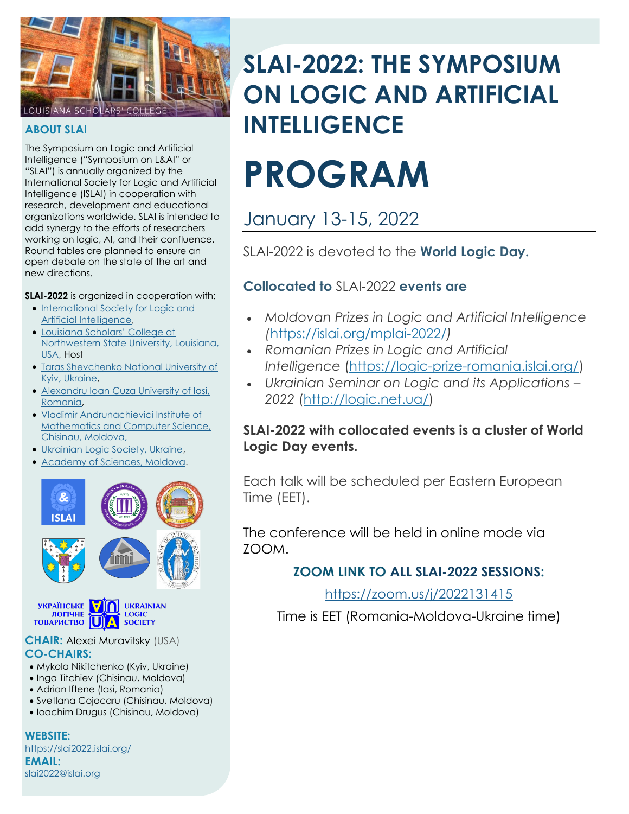

#### **ABOUT SLAI**

The Symposium on Logic and Artificial Intelligence ("Symposium on L&AI" or "SLAI") is annually organized by the International Society for Logic and Artificial Intelligence (ISLAI) in cooperation with research, development and educational organizations worldwide. SLAI is intended to add synergy to the efforts of researchers working on logic, AI, and their confluence. Round tables are planned to ensure an open debate on the state of the art and new directions.

#### **SLAI-2022** is organized in cooperation with:

- [International Society for Logic and](https://islai.org/islai/)  [Artificial Intelligence,](https://islai.org/islai/)
- [Louisiana Scholars' College at](https://www.nsula.edu/scholars/)  [Northwestern State University, Louisiana,](https://www.nsula.edu/scholars/)  [USA,](https://www.nsula.edu/scholars/) Host
- [Taras Shevchenko National University of](http://univ.kiev.ua/en/)  [Kyiv, Ukraine,](http://univ.kiev.ua/en/)
- Alexandru Ioan [Cuza University of Iasi,](http://www.uaic.ro/en/)  [Romania,](http://www.uaic.ro/en/)
- [Vladimir Andrunachievici Institute of](http://www.math.md/)  [Mathematics and Computer Science,](http://www.math.md/)  [Chisinau, Moldova,](http://www.math.md/)
- [Ukrainian Logic Society, Ukraine,](http://logic.net.ua/ULS)
- [Academy of Sciences, Moldova.](https://asm.md/)



**YKPAÏHCLKE**<br> **TOPHHE**<br>
TOBAPKCTBO **DE LOGIC**<br>
TOBAPKCTBO **DE LOGIC** 

#### **CHAIR:** Alexei Muravitsky (USA) **CO-CHAIRS:**

- Mykola Nikitchenko (Kyiv, Ukraine)
- Inga Titchiev (Chisinau, Moldova)
- Adrian Iftene (Iasi, Romania)
- Svetlana Cojocaru (Chisinau, Moldova)
- Ioachim Drugus (Chisinau, Moldova)

**WEBSITE:** <https://slai2022.islai.org/> **EMAIL:** [slai2022@islai.org](mailto:slai2022@islai.org)

# **SLAI-2022: THE SYMPOSIUM ON LOGIC AND ARTIFICIAL INTELLIGENCE**

# **PROGRAM**

# January 13-15, 2022

SLAI-2022 is devoted to the **World Logic Day.**

# **Collocated to** SLAI-2022 **events are**

- *Moldovan Prizes in Logic and Artificial Intelligence (*<https://islai.org/mplai-2022/>*)*
- *Romanian Prizes in Logic and Artificial Intelligence* [\(https://logic-prize-romania.islai.org/\)](https://logic-prize-romania.islai.org/)
- *Ukrainian Seminar on Logic and its Applications – 2022* [\(http://logic.net.ua/\)](http://logic.net.ua/)

## **SLAI-2022 with collocated events is a cluster of World Logic Day events.**

Each talk will be scheduled per Eastern European Time (EET).

The conference will be held in online mode via ZOOM.

# **ZOOM LINK TO ALL SLAI-2022 SESSIONS:**

## <https://zoom.us/j/2022131415>

Time is EET (Romania-Moldova-Ukraine time)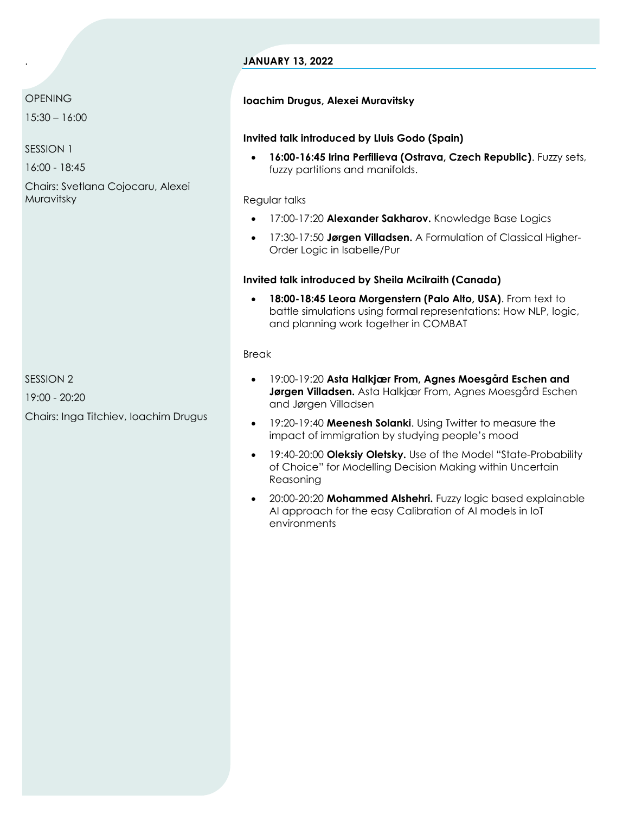#### **JANUARY 13, 2022**

#### **OPENING**

.

15:30 – 16:00

SESSION 1

16:00 - 18:45

Chairs: Svetlana Cojocaru, Alexei Muravitsky

SESSION 2 19:00 - 20:20

Chairs: Inga Titchiev, Ioachim Drugus

#### **Ioachim Drugus, Alexei Muravitsky**

#### **Invited talk introduced by Lluis Godo (Spain)**

• **16:00-16:45 Irina Perfilieva (Ostrava, Czech Republic)**. Fuzzy sets, fuzzy partitions and manifolds.

Regular talks

- 17:00-17:20 **Alexander Sakharov.** Knowledge Base Logics
- 17:30-17:50 **Jørgen Villadsen.** A Formulation of Classical Higher-Order Logic in Isabelle/Pur

#### **Invited talk introduced by Sheila Mcilraith (Canada)**

• **18:00-18:45 Leora Morgenstern (Palo Alto, USA)**. From text to battle simulations using formal representations: How NLP, logic, and planning work together in COMBAT

#### Break

- 19:00-19:20 **Asta Halkjær From, Agnes Moesgård Eschen and Jørgen Villadsen.** Asta Halkjær From, Agnes Moesgård Eschen and Jørgen Villadsen
- 19:20-19:40 **Meenesh Solanki**. Using Twitter to measure the impact of immigration by studying people's mood
- 19:40-20:00 **Oleksiy Oletsky.** Use of the Model "State-Probability of Choice" for Modelling Decision Making within Uncertain Reasoning
- 20:00-20:20 **Mohammed Alshehri.** Fuzzy logic based explainable AI approach for the easy Calibration of AI models in IoT environments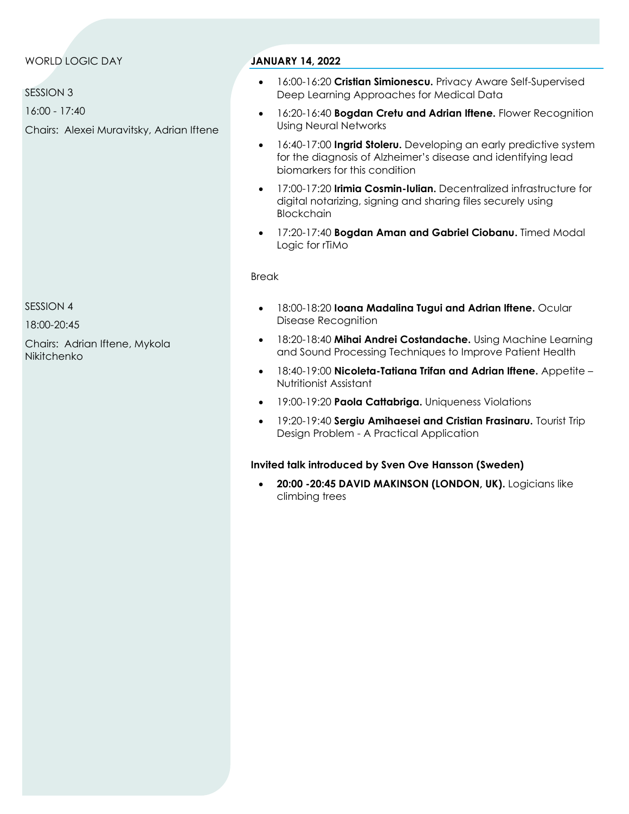#### WORLD LOGIC DAY

SESSION 3

16:00 - 17:40

Chairs: Alexei Muravitsky, Adrian Iftene

#### **JANUARY 14, 2022**

- 16:00-16:20 **Cristian Simionescu.** Privacy Aware Self-Supervised Deep Learning Approaches for Medical Data
- 16:20-16:40 **Bogdan Cretu and Adrian Iftene.** Flower Recognition Using Neural Networks
- 16:40-17:00 **Ingrid Stoleru.** Developing an early predictive system for the diagnosis of Alzheimer's disease and identifying lead biomarkers for this condition
- 17:00-17:20 **Irimia Cosmin-Iulian.** Decentralized infrastructure for digital notarizing, signing and sharing files securely using **Blockchain**
- 17:20-17:40 **Bogdan Aman and Gabriel Ciobanu.** Timed Modal Logic for rTiMo

#### Break

- 18:00-18:20 **Ioana Madalina Tugui and Adrian Iftene.** Ocular Disease Recognition
- 18:20-18:40 **Mihai Andrei Costandache.** Using Machine Learning and Sound Processing Techniques to Improve Patient Health
- 18:40-19:00 **Nicoleta-Tatiana Trifan and Adrian Iftene.** Appetite Nutritionist Assistant
- 19:00-19:20 **Paola Cattabriga.** Uniqueness Violations
- 19:20-19:40 **Sergiu Amihaesei and Cristian Frasinaru.** Tourist Trip Design Problem - A Practical Application

#### **Invited talk introduced by Sven Ove Hansson (Sweden)**

• **20:00 -20:45 DAVID MAKINSON (LONDON, UK).** Logicians like climbing trees

SESSION 4

18:00-20:45

Chairs: Adrian Iftene, Mykola **Nikitchenko**